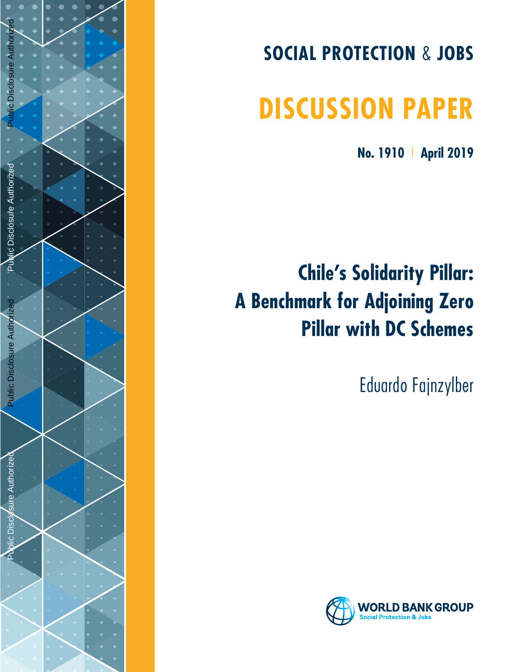

# **SOCIAL PROTECTION**  & **JOBS**

# **DISCUSSION PAPER**

**No. 1910**  | **April 2019**

# **Chile's Solidarity Pillar: A Benchmark for Adjoining Zero Pillar with DC Schemes**

Eduardo Fajnzylber

![](_page_0_Picture_6.jpeg)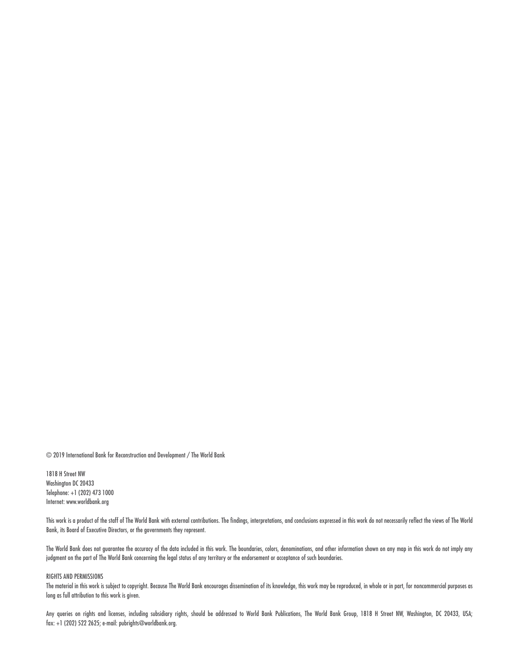© 2019 International Bank for Reconstruction and Development / The World Bank

1818 H Street NW Washington DC 20433 Telephone: +1 (202) 473 1000 Internet: www.worldbank.org

This work is a product of the staff of The World Bank with external contributions. The findings, interpretations, and conclusions expressed in this work do not necessarily reflect the views of The World Bank, its Board of Executive Directors, or the governments they represent.

The World Bank does not guarantee the accuracy of the data included in this work. The boundaries, colors, denominations, and other information shown on any map in this work do not imply any judgment on the part of The World Bank concerning the legal status of any territory or the endorsement or acceptance of such boundaries.

#### RIGHTS AND PERMISSIONS

The material in this work is subject to copyright. Because The World Bank encourages dissemination of its knowledge, this work may be reproduced, in whole or in part, for noncommercial purposes as long as full attribution to this work is given.

Any queries on rights and licenses, including subsidiary rights, should be addressed to World Bank Publications, The World Bank Group, 1818 H Street NW, Washington, DC 20433, USA; fax: +1 (202) 522 2625; e-mail: pubrights@worldbank.org.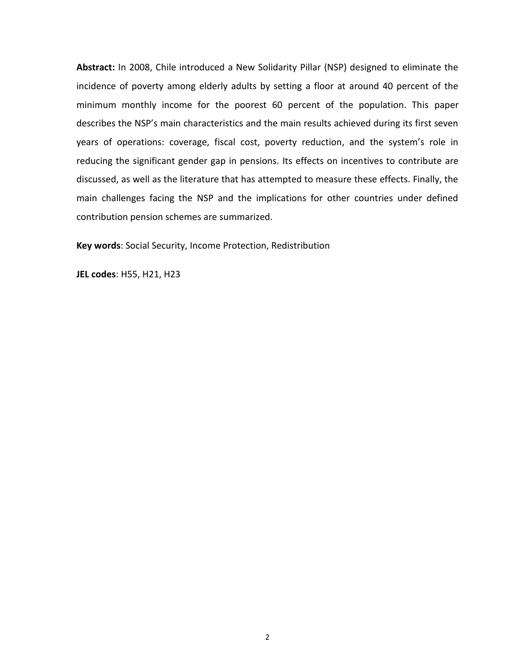**Abstract:** In 2008, Chile introduced a New Solidarity Pillar (NSP) designed to eliminate the incidence of poverty among elderly adults by setting a floor at around 40 percent of the minimum monthly income for the poorest 60 percent of the population. This paper describes the NSP's main characteristics and the main results achieved during its first seven years of operations: coverage, fiscal cost, poverty reduction, and the system's role in reducing the significant gender gap in pensions. Its effects on incentives to contribute are discussed, as well as the literature that has attempted to measure these effects. Finally, the main challenges facing the NSP and the implications for other countries under defined contribution pension schemes are summarized.

**Key words**: Social Security, Income Protection, Redistribution

**JEL codes**: H55, H21, H23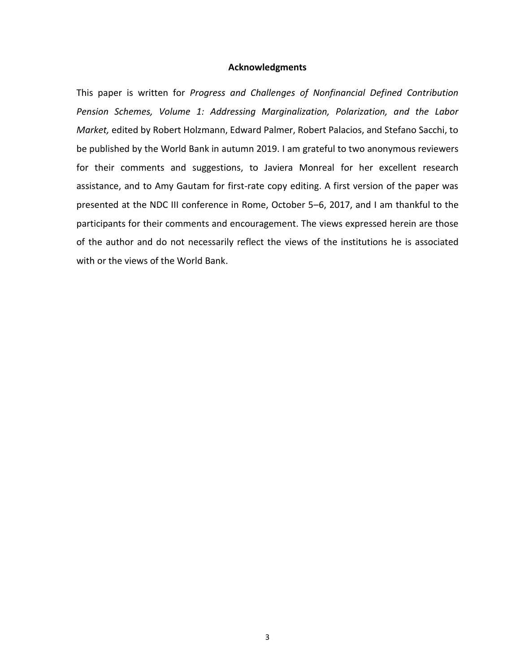#### **Acknowledgments**

This paper is written for *Progress and Challenges of Nonfinancial Defined Contribution Pension Schemes, Volume 1: Addressing Marginalization, Polarization, and the Labor Market,* edited by Robert Holzmann, Edward Palmer, Robert Palacios, and Stefano Sacchi, to be published by the World Bank in autumn 2019. I am grateful to two anonymous reviewers for their comments and suggestions, to Javiera Monreal for her excellent research assistance, and to Amy Gautam for first-rate copy editing. A first version of the paper was presented at the NDC III conference in Rome, October 5–6, 2017, and I am thankful to the participants for their comments and encouragement. The views expressed herein are those of the author and do not necessarily reflect the views of the institutions he is associated with or the views of the World Bank.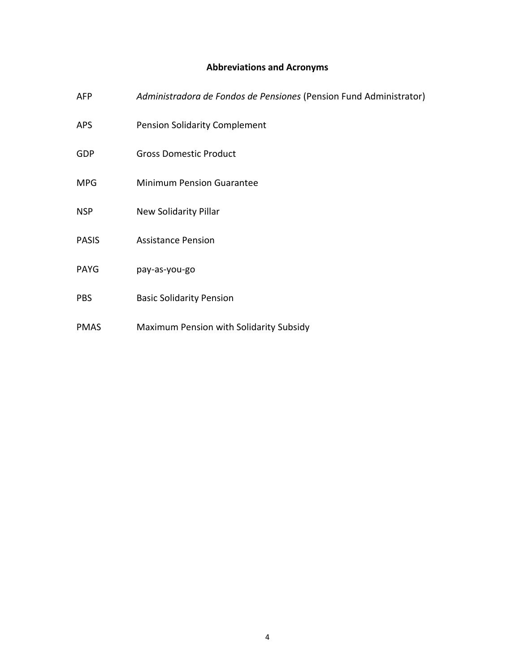## **Abbreviations and Acronyms**

- AFP *Administradora de Fondos de Pensiones* (Pension Fund Administrator)
- APS Pension Solidarity Complement
- GDP Gross Domestic Product
- MPG Minimum Pension Guarantee
- NSP New Solidarity Pillar
- PASIS Assistance Pension
- PAYG pay-as-you-go
- PBS Basic Solidarity Pension
- PMAS Maximum Pension with Solidarity Subsidy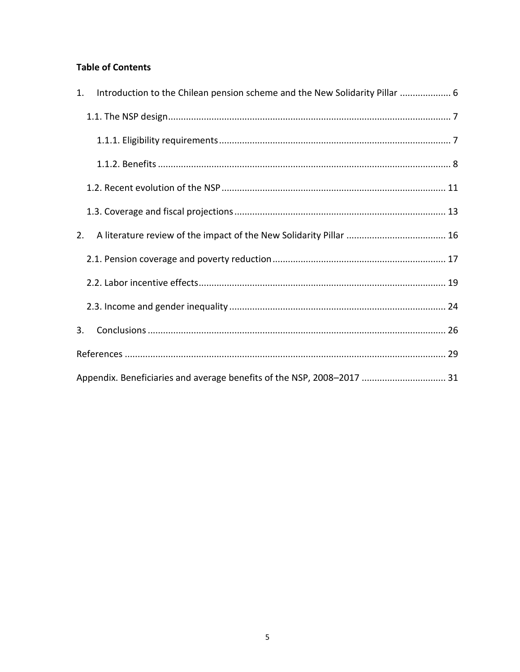### **Table of Contents**

| 1. | Introduction to the Chilean pension scheme and the New Solidarity Pillar  6 |  |
|----|-----------------------------------------------------------------------------|--|
|    |                                                                             |  |
|    |                                                                             |  |
|    |                                                                             |  |
|    |                                                                             |  |
|    |                                                                             |  |
| 2. |                                                                             |  |
|    |                                                                             |  |
|    |                                                                             |  |
|    |                                                                             |  |
| 3. |                                                                             |  |
|    |                                                                             |  |
|    | Appendix. Beneficiaries and average benefits of the NSP, 2008-2017  31      |  |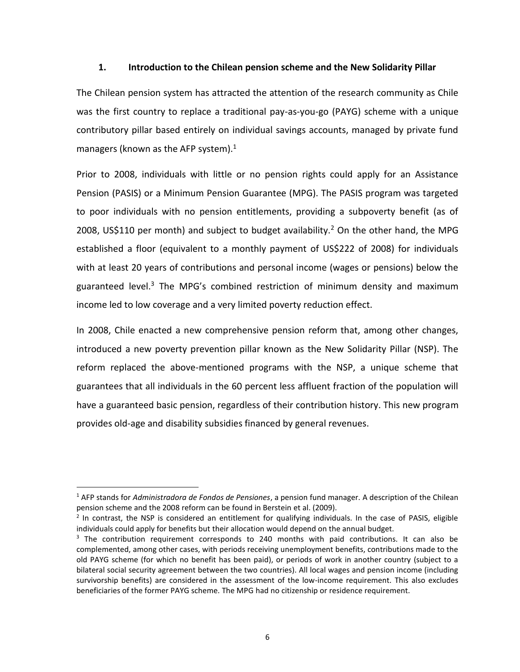#### <span id="page-6-0"></span>**1. Introduction to the Chilean pension scheme and the New Solidarity Pillar**

The Chilean pension system has attracted the attention of the research community as Chile was the first country to replace a traditional pay-as-you-go (PAYG) scheme with a unique contributory pillar based entirely on individual savings accounts, managed by private fund managers (known as the AFP system). $1$ 

Prior to 2008, individuals with little or no pension rights could apply for an Assistance Pension (PASIS) or a Minimum Pension Guarantee (MPG). The PASIS program was targeted to poor individuals with no pension entitlements, providing a subpoverty benefit (as of 2008, US\$110 per month) and subject to budget availability.<sup>2</sup> On the other hand, the MPG established a floor (equivalent to a monthly payment of US\$222 of 2008) for individuals with at least 20 years of contributions and personal income (wages or pensions) below the guaranteed level.<sup>3</sup> The MPG's combined restriction of minimum density and maximum income led to low coverage and a very limited poverty reduction effect.

In 2008, Chile enacted a new comprehensive pension reform that, among other changes, introduced a new poverty prevention pillar known as the New Solidarity Pillar (NSP). The reform replaced the above-mentioned programs with the NSP, a unique scheme that guarantees that all individuals in the 60 percent less affluent fraction of the population will have a guaranteed basic pension, regardless of their contribution history. This new program provides old-age and disability subsidies financed by general revenues.

 $\overline{a}$ 

<sup>1</sup> AFP stands for *Administradora de Fondos de Pensiones*, a pension fund manager. A description of the Chilean pension scheme and the 2008 reform can be found in Berstein et al. (2009).

 $2$  In contrast, the NSP is considered an entitlement for qualifying individuals. In the case of PASIS, eligible individuals could apply for benefits but their allocation would depend on the annual budget.

 $3$  The contribution requirement corresponds to 240 months with paid contributions. It can also be complemented, among other cases, with periods receiving unemployment benefits, contributions made to the old PAYG scheme (for which no benefit has been paid), or periods of work in another country (subject to a bilateral social security agreement between the two countries). All local wages and pension income (including survivorship benefits) are considered in the assessment of the low-income requirement. This also excludes beneficiaries of the former PAYG scheme. The MPG had no citizenship or residence requirement.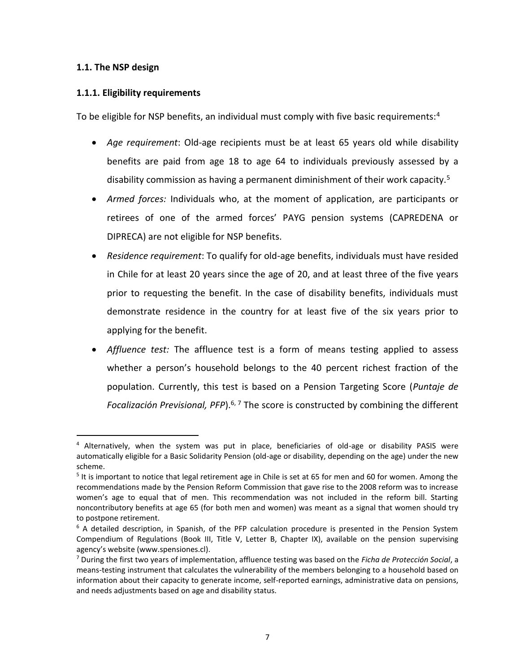#### <span id="page-7-0"></span>**1.1. The NSP design**

 $\overline{a}$ 

#### <span id="page-7-1"></span>**1.1.1. Eligibility requirements**

To be eligible for NSP benefits, an individual must comply with five basic requirements:<sup>4</sup>

- *Age requirement*: Old-age recipients must be at least 65 years old while disability benefits are paid from age 18 to age 64 to individuals previously assessed by a disability commission as having a permanent diminishment of their work capacity.<sup>5</sup>
- *Armed forces:* Individuals who, at the moment of application, are participants or retirees of one of the armed forces' PAYG pension systems (CAPREDENA or DIPRECA) are not eligible for NSP benefits.
- *Residence requirement*: To qualify for old-age benefits, individuals must have resided in Chile for at least 20 years since the age of 20, and at least three of the five years prior to requesting the benefit. In the case of disability benefits, individuals must demonstrate residence in the country for at least five of the six years prior to applying for the benefit.
- *Affluence test:* The affluence test is a form of means testing applied to assess whether a person's household belongs to the 40 percent richest fraction of the population. Currently, this test is based on a Pension Targeting Score (*Puntaje de*  Focalización Previsional, PFP).<sup>6, 7</sup> The score is constructed by combining the different

<sup>&</sup>lt;sup>4</sup> Alternatively, when the system was put in place, beneficiaries of old-age or disability PASIS were automatically eligible for a Basic Solidarity Pension (old-age or disability, depending on the age) under the new scheme.

<sup>&</sup>lt;sup>5</sup> It is important to notice that legal retirement age in Chile is set at 65 for men and 60 for women. Among the recommendations made by the Pension Reform Commission that gave rise to the 2008 reform was to increase women's age to equal that of men. This recommendation was not included in the reform bill. Starting noncontributory benefits at age 65 (for both men and women) was meant as a signal that women should try to postpone retirement.

 $6$  A detailed description, in Spanish, of the PFP calculation procedure is presented in the Pension System Compendium of Regulations (Book III, Title V, Letter B, Chapter IX), available on the pension supervising agency's website (www.spensiones.cl).

<sup>7</sup> During the first two years of implementation, affluence testing was based on the *Ficha de Protección Social*, a means-testing instrument that calculates the vulnerability of the members belonging to a household based on information about their capacity to generate income, self-reported earnings, administrative data on pensions, and needs adjustments based on age and disability status.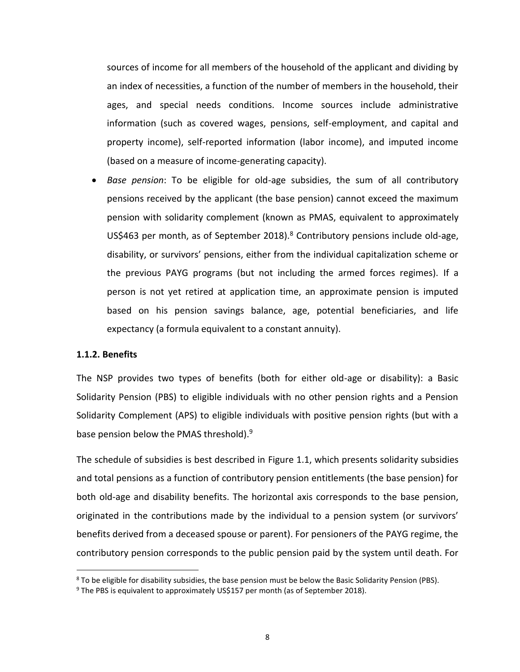sources of income for all members of the household of the applicant and dividing by an index of necessities, a function of the number of members in the household, their ages, and special needs conditions. Income sources include administrative information (such as covered wages, pensions, self-employment, and capital and property income), self-reported information (labor income), and imputed income (based on a measure of income-generating capacity).

• *Base pension*: To be eligible for old-age subsidies, the sum of all contributory pensions received by the applicant (the base pension) cannot exceed the maximum pension with solidarity complement (known as PMAS, equivalent to approximately US\$463 per month, as of September 2018). $8$  Contributory pensions include old-age, disability, or survivors' pensions, either from the individual capitalization scheme or the previous PAYG programs (but not including the armed forces regimes). If a person is not yet retired at application time, an approximate pension is imputed based on his pension savings balance, age, potential beneficiaries, and life expectancy (a formula equivalent to a constant annuity).

#### <span id="page-8-0"></span>**1.1.2. Benefits**

 $\overline{a}$ 

The NSP provides two types of benefits (both for either old-age or disability): a Basic Solidarity Pension (PBS) to eligible individuals with no other pension rights and a Pension Solidarity Complement (APS) to eligible individuals with positive pension rights (but with a base pension below the PMAS threshold).<sup>9</sup>

The schedule of subsidies is best described in [Figure 1.1,](#page-9-0) which presents solidarity subsidies and total pensions as a function of contributory pension entitlements (the base pension) for both old-age and disability benefits. The horizontal axis corresponds to the base pension, originated in the contributions made by the individual to a pension system (or survivors' benefits derived from a deceased spouse or parent). For pensioners of the PAYG regime, the contributory pension corresponds to the public pension paid by the system until death. For

<sup>&</sup>lt;sup>8</sup> To be eligible for disability subsidies, the base pension must be below the Basic Solidarity Pension (PBS).

 $9$  The PBS is equivalent to approximately US\$157 per month (as of September 2018).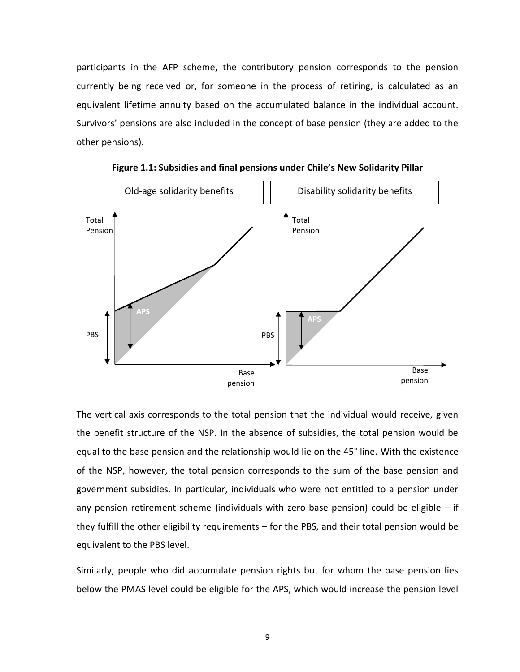participants in the AFP scheme, the contributory pension corresponds to the pension currently being received or, for someone in the process of retiring, is calculated as an equivalent lifetime annuity based on the accumulated balance in the individual account. Survivors' pensions are also included in the concept of base pension (they are added to the other pensions).

<span id="page-9-0"></span>![](_page_9_Figure_1.jpeg)

**Figure 1.1: Subsidies and final pensions under Chile's New Solidarity Pillar**

The vertical axis corresponds to the total pension that the individual would receive, given the benefit structure of the NSP. In the absence of subsidies, the total pension would be equal to the base pension and the relationship would lie on the 45° line. With the existence of the NSP, however, the total pension corresponds to the sum of the base pension and government subsidies. In particular, individuals who were not entitled to a pension under any pension retirement scheme (individuals with zero base pension) could be eligible  $-$  if they fulfill the other eligibility requirements – for the PBS, and their total pension would be equivalent to the PBS level.

Similarly, people who did accumulate pension rights but for whom the base pension lies below the PMAS level could be eligible for the APS, which would increase the pension level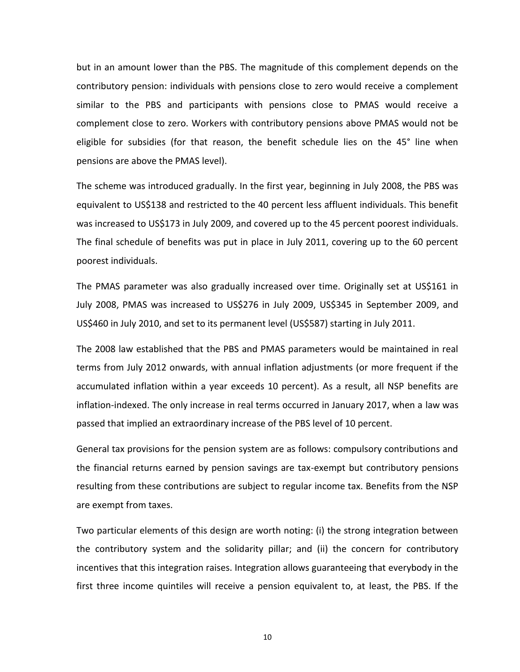but in an amount lower than the PBS. The magnitude of this complement depends on the contributory pension: individuals with pensions close to zero would receive a complement similar to the PBS and participants with pensions close to PMAS would receive a complement close to zero. Workers with contributory pensions above PMAS would not be eligible for subsidies (for that reason, the benefit schedule lies on the 45° line when pensions are above the PMAS level).

The scheme was introduced gradually. In the first year, beginning in July 2008, the PBS was equivalent to US\$138 and restricted to the 40 percent less affluent individuals. This benefit was increased to US\$173 in July 2009, and covered up to the 45 percent poorest individuals. The final schedule of benefits was put in place in July 2011, covering up to the 60 percent poorest individuals.

The PMAS parameter was also gradually increased over time. Originally set at US\$161 in July 2008, PMAS was increased to US\$276 in July 2009, US\$345 in September 2009, and US\$460 in July 2010, and set to its permanent level (US\$587) starting in July 2011.

The 2008 law established that the PBS and PMAS parameters would be maintained in real terms from July 2012 onwards, with annual inflation adjustments (or more frequent if the accumulated inflation within a year exceeds 10 percent). As a result, all NSP benefits are inflation-indexed. The only increase in real terms occurred in January 2017, when a law was passed that implied an extraordinary increase of the PBS level of 10 percent.

General tax provisions for the pension system are as follows: compulsory contributions and the financial returns earned by pension savings are tax-exempt but contributory pensions resulting from these contributions are subject to regular income tax. Benefits from the NSP are exempt from taxes.

Two particular elements of this design are worth noting: (i) the strong integration between the contributory system and the solidarity pillar; and (ii) the concern for contributory incentives that this integration raises. Integration allows guaranteeing that everybody in the first three income quintiles will receive a pension equivalent to, at least, the PBS. If the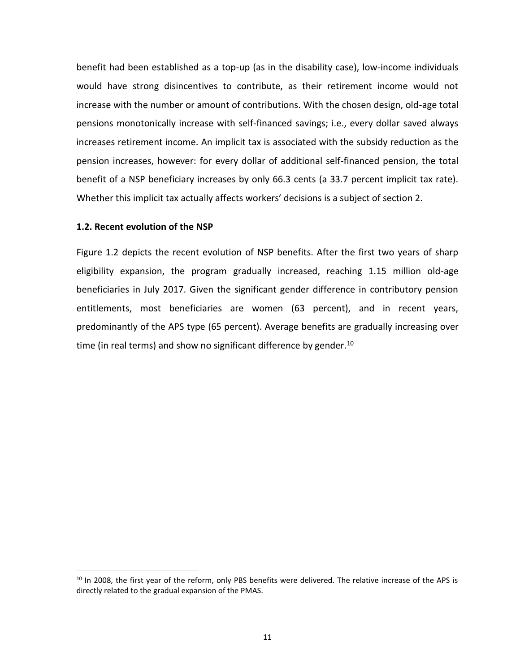benefit had been established as a top-up (as in the disability case), low-income individuals would have strong disincentives to contribute, as their retirement income would not increase with the number or amount of contributions. With the chosen design, old-age total pensions monotonically increase with self-financed savings; i.e., every dollar saved always increases retirement income. An implicit tax is associated with the subsidy reduction as the pension increases, however: for every dollar of additional self-financed pension, the total benefit of a NSP beneficiary increases by only 66.3 cents (a 33.7 percent implicit tax rate). Whether this implicit tax actually affects workers' decisions is a subject of section 2.

#### <span id="page-11-0"></span>**1.2. Recent evolution of the NSP**

 $\overline{a}$ 

[Figure 1.2](#page-12-0) depicts the recent evolution of NSP benefits. After the first two years of sharp eligibility expansion, the program gradually increased, reaching 1.15 million old-age beneficiaries in July 2017. Given the significant gender difference in contributory pension entitlements, most beneficiaries are women (63 percent), and in recent years, predominantly of the APS type (65 percent). Average benefits are gradually increasing over time (in real terms) and show no significant difference by gender.<sup>10</sup>

<sup>&</sup>lt;sup>10</sup> In 2008, the first year of the reform, only PBS benefits were delivered. The relative increase of the APS is directly related to the gradual expansion of the PMAS.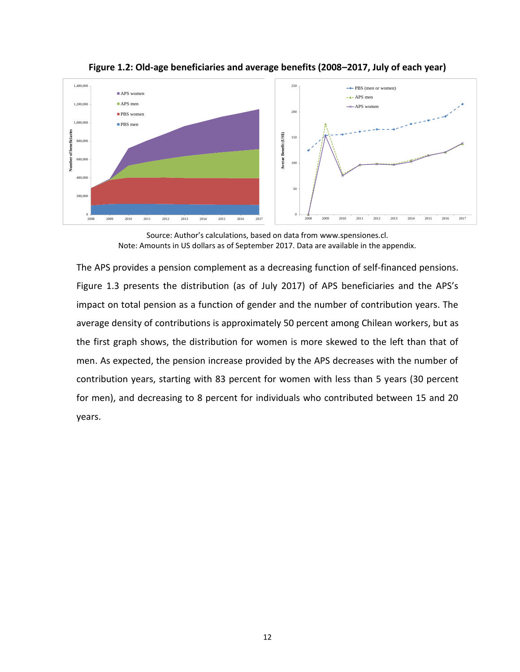![](_page_12_Figure_0.jpeg)

<span id="page-12-0"></span>**Figure 1.2: Old-age beneficiaries and average benefits (2008–2017, July of each year)**

The APS provides a pension complement as a decreasing function of self-financed pensions. [Figure 1.3](#page-13-1) presents the distribution (as of July 2017) of APS beneficiaries and the APS's impact on total pension as a function of gender and the number of contribution years. The average density of contributions is approximately 50 percent among Chilean workers, but as the first graph shows, the distribution for women is more skewed to the left than that of men. As expected, the pension increase provided by the APS decreases with the number of contribution years, starting with 83 percent for women with less than 5 years (30 percent for men), and decreasing to 8 percent for individuals who contributed between 15 and 20 years.

Source: Author's calculations, based on data from [www.spensiones.cl.](http://www.spensiones.cl/) Note: Amounts in US dollars as of September 2017. Data are available in the appendix.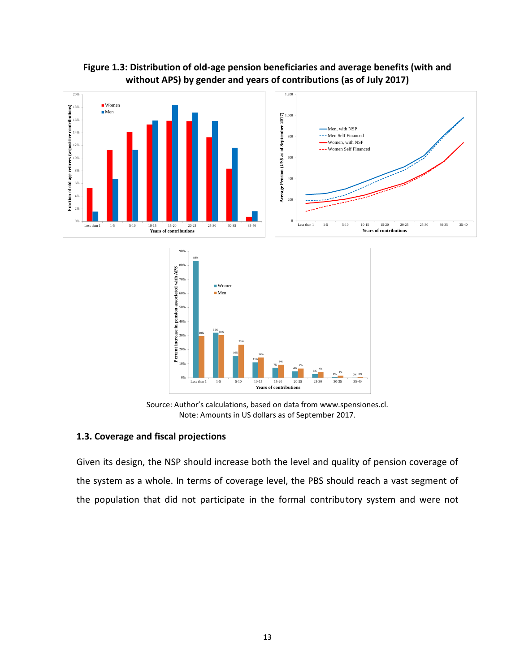![](_page_13_Figure_0.jpeg)

<span id="page-13-1"></span>**Figure 1.3: Distribution of old-age pension beneficiaries and average benefits (with and without APS) by gender and years of contributions (as of July 2017)**

Source: Author's calculations, based on data from [www.spensiones.cl.](http://www.spensiones.cl/) Note: Amounts in US dollars as of September 2017.

**Years of contributions**

#### <span id="page-13-0"></span>**1.3. Coverage and fiscal projections**

 $0\%$   $\qquad$  Less than 1

Given its design, the NSP should increase both the level and quality of pension coverage of the system as a whole. In terms of coverage level, the PBS should reach a vast segment of the population that did not participate in the formal contributory system and were not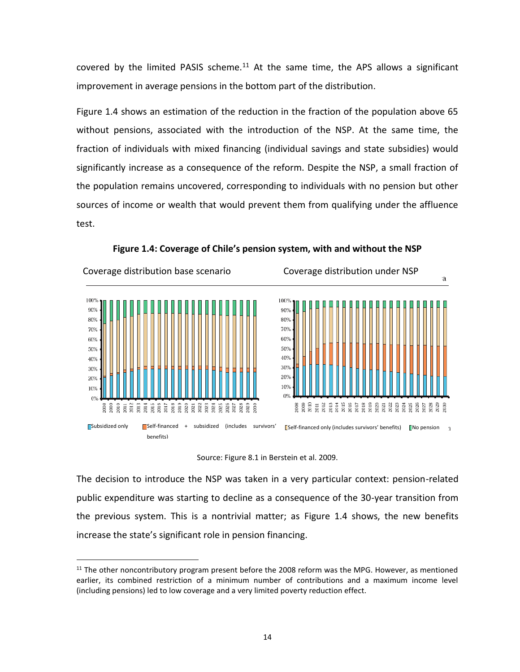covered by the limited PASIS scheme.<sup>11</sup> At the same time, the APS allows a significant improvement in average pensions in the bottom part of the distribution.

[Figure 1.4](#page-14-0) shows an estimation of the reduction in the fraction of the population above 65 without pensions, associated with the introduction of the NSP. At the same time, the fraction of individuals with mixed financing (individual savings and state subsidies) would significantly increase as a consequence of the reform. Despite the NSP, a small fraction of the population remains uncovered, corresponding to individuals with no pension but other sources of income or wealth that would prevent them from qualifying under the affluence test.

<span id="page-14-0"></span>![](_page_14_Figure_2.jpeg)

**Figure 1.4: Coverage of Chile's pension system, with and without the NSP**

Source: Figure 8.1 in Berstein et al. 2009.

The decision to introduce the NSP was taken in a very particular context: pension-related public expenditure was starting to decline as a consequence of the 30-year transition from the previous system. This is a nontrivial matter; as [Figure 1.4](#page-14-0) shows, the new benefits increase the state's significant role in pension financing.

 $\overline{a}$ 

<sup>&</sup>lt;sup>11</sup> The other noncontributory program present before the 2008 reform was the MPG. However, as mentioned earlier, its combined restriction of a minimum number of contributions and a maximum income level (including pensions) led to low coverage and a very limited poverty reduction effect.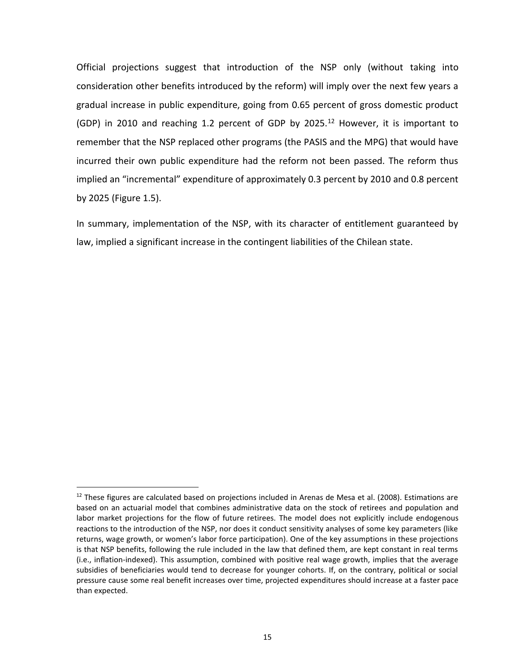Official projections suggest that introduction of the NSP only (without taking into consideration other benefits introduced by the reform) will imply over the next few years a gradual increase in public expenditure, going from 0.65 percent of gross domestic product (GDP) in 2010 and reaching 1.2 percent of GDP by 2025.<sup>12</sup> However, it is important to remember that the NSP replaced other programs (the PASIS and the MPG) that would have incurred their own public expenditure had the reform not been passed. The reform thus implied an "incremental" expenditure of approximately 0.3 percent by 2010 and 0.8 percent by 2025 [\(Figure 1.5\)](#page-16-1).

In summary, implementation of the NSP, with its character of entitlement guaranteed by law, implied a significant increase in the contingent liabilities of the Chilean state.

 $\overline{a}$ 

 $12$  These figures are calculated based on projections included in Arenas de Mesa et al. (2008). Estimations are based on an actuarial model that combines administrative data on the stock of retirees and population and labor market projections for the flow of future retirees. The model does not explicitly include endogenous reactions to the introduction of the NSP, nor does it conduct sensitivity analyses of some key parameters (like returns, wage growth, or women's labor force participation). One of the key assumptions in these projections is that NSP benefits, following the rule included in the law that defined them, are kept constant in real terms (i.e., inflation-indexed). This assumption, combined with positive real wage growth, implies that the average subsidies of beneficiaries would tend to decrease for younger cohorts. If, on the contrary, political or social pressure cause some real benefit increases over time, projected expenditures should increase at a faster pace than expected.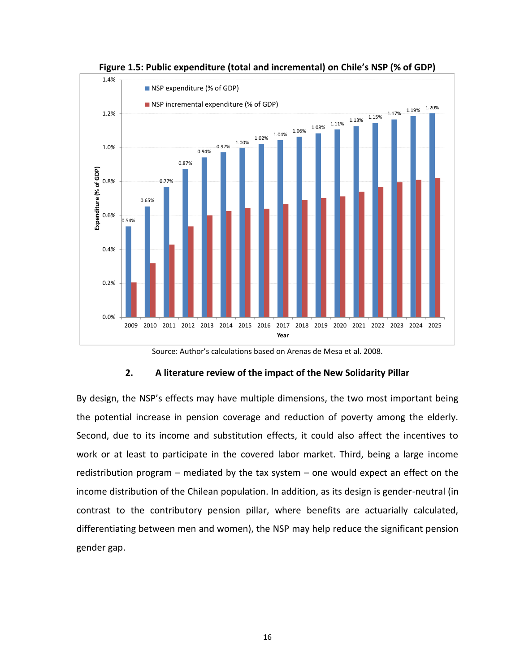<span id="page-16-1"></span>![](_page_16_Figure_0.jpeg)

**Figure 1.5: Public expenditure (total and incremental) on Chile's NSP (% of GDP)**

Source: Author's calculations based on Arenas de Mesa et al. 2008.

#### **2. A literature review of the impact of the New Solidarity Pillar**

<span id="page-16-0"></span>By design, the NSP's effects may have multiple dimensions, the two most important being the potential increase in pension coverage and reduction of poverty among the elderly. Second, due to its income and substitution effects, it could also affect the incentives to work or at least to participate in the covered labor market. Third, being a large income redistribution program – mediated by the tax system – one would expect an effect on the income distribution of the Chilean population. In addition, as its design is gender-neutral (in contrast to the contributory pension pillar, where benefits are actuarially calculated, differentiating between men and women), the NSP may help reduce the significant pension gender gap.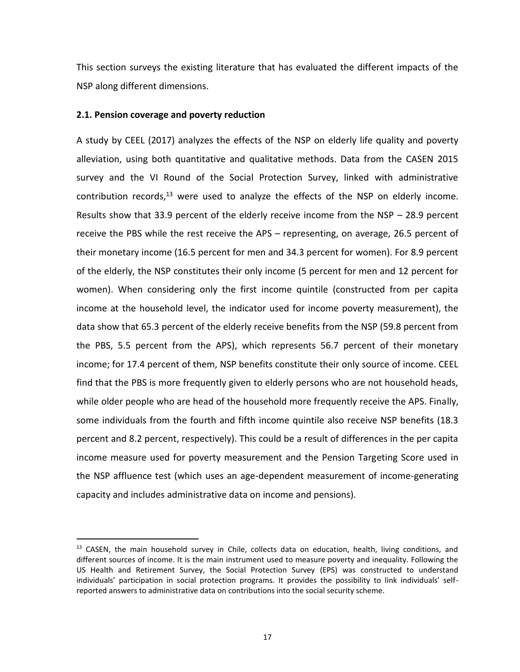This section surveys the existing literature that has evaluated the different impacts of the NSP along different dimensions.

#### <span id="page-17-0"></span>**2.1. Pension coverage and poverty reduction**

 $\overline{a}$ 

A study by CEEL (2017) analyzes the effects of the NSP on elderly life quality and poverty alleviation, using both quantitative and qualitative methods. Data from the CASEN 2015 survey and the VI Round of the Social Protection Survey, linked with administrative contribution records, $13$  were used to analyze the effects of the NSP on elderly income. Results show that 33.9 percent of the elderly receive income from the NSP – 28.9 percent receive the PBS while the rest receive the APS – representing, on average, 26.5 percent of their monetary income (16.5 percent for men and 34.3 percent for women). For 8.9 percent of the elderly, the NSP constitutes their only income (5 percent for men and 12 percent for women). When considering only the first income quintile (constructed from per capita income at the household level, the indicator used for income poverty measurement), the data show that 65.3 percent of the elderly receive benefits from the NSP (59.8 percent from the PBS, 5.5 percent from the APS), which represents 56.7 percent of their monetary income; for 17.4 percent of them, NSP benefits constitute their only source of income. CEEL find that the PBS is more frequently given to elderly persons who are not household heads, while older people who are head of the household more frequently receive the APS. Finally, some individuals from the fourth and fifth income quintile also receive NSP benefits (18.3 percent and 8.2 percent, respectively). This could be a result of differences in the per capita income measure used for poverty measurement and the Pension Targeting Score used in the NSP affluence test (which uses an age-dependent measurement of income-generating capacity and includes administrative data on income and pensions).

 $<sup>13</sup>$  CASEN, the main household survey in Chile, collects data on education, health, living conditions, and</sup> different sources of income. It is the main instrument used to measure poverty and inequality. Following the US Health and Retirement Survey, the Social Protection Survey (EPS) was constructed to understand individuals' participation in social protection programs. It provides the possibility to link individuals' selfreported answers to administrative data on contributions into the social security scheme.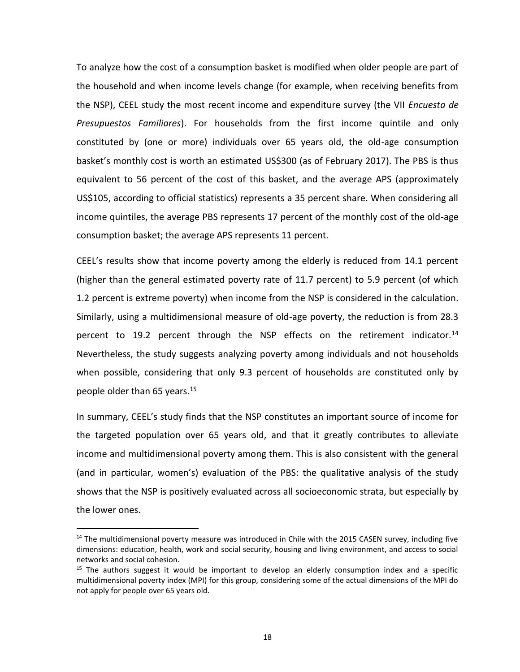To analyze how the cost of a consumption basket is modified when older people are part of the household and when income levels change (for example, when receiving benefits from the NSP), CEEL study the most recent income and expenditure survey (the VII *Encuesta de Presupuestos Familiares*). For households from the first income quintile and only constituted by (one or more) individuals over 65 years old, the old-age consumption basket's monthly cost is worth an estimated US\$300 (as of February 2017). The PBS is thus equivalent to 56 percent of the cost of this basket, and the average APS (approximately US\$105, according to official statistics) represents a 35 percent share. When considering all income quintiles, the average PBS represents 17 percent of the monthly cost of the old-age consumption basket; the average APS represents 11 percent.

CEEL's results show that income poverty among the elderly is reduced from 14.1 percent (higher than the general estimated poverty rate of 11.7 percent) to 5.9 percent (of which 1.2 percent is extreme poverty) when income from the NSP is considered in the calculation. Similarly, using a multidimensional measure of old-age poverty, the reduction is from 28.3 percent to 19.2 percent through the NSP effects on the retirement indicator.<sup>14</sup> Nevertheless, the study suggests analyzing poverty among individuals and not households when possible, considering that only 9.3 percent of households are constituted only by people older than 65 years.<sup>15</sup>

In summary, CEEL's study finds that the NSP constitutes an important source of income for the targeted population over 65 years old, and that it greatly contributes to alleviate income and multidimensional poverty among them. This is also consistent with the general (and in particular, women's) evaluation of the PBS: the qualitative analysis of the study shows that the NSP is positively evaluated across all socioeconomic strata, but especially by the lower ones.

 $\overline{a}$ 

 $14$  The multidimensional poverty measure was introduced in Chile with the 2015 CASEN survey, including five dimensions: education, health, work and social security, housing and living environment, and access to social networks and social cohesion.

 $15$  The authors suggest it would be important to develop an elderly consumption index and a specific multidimensional poverty index (MPI) for this group, considering some of the actual dimensions of the MPI do not apply for people over 65 years old.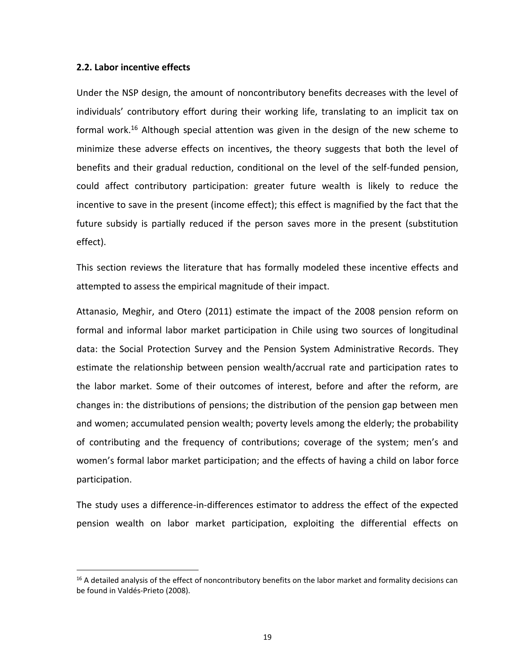#### <span id="page-19-0"></span>**2.2. Labor incentive effects**

 $\overline{a}$ 

Under the NSP design, the amount of noncontributory benefits decreases with the level of individuals' contributory effort during their working life, translating to an implicit tax on formal work.<sup>16</sup> Although special attention was given in the design of the new scheme to minimize these adverse effects on incentives, the theory suggests that both the level of benefits and their gradual reduction, conditional on the level of the self-funded pension, could affect contributory participation: greater future wealth is likely to reduce the incentive to save in the present (income effect); this effect is magnified by the fact that the future subsidy is partially reduced if the person saves more in the present (substitution effect).

This section reviews the literature that has formally modeled these incentive effects and attempted to assess the empirical magnitude of their impact.

Attanasio, Meghir, and Otero (2011) estimate the impact of the 2008 pension reform on formal and informal labor market participation in Chile using two sources of longitudinal data: the Social Protection Survey and the Pension System Administrative Records. They estimate the relationship between pension wealth/accrual rate and participation rates to the labor market. Some of their outcomes of interest, before and after the reform, are changes in: the distributions of pensions; the distribution of the pension gap between men and women; accumulated pension wealth; poverty levels among the elderly; the probability of contributing and the frequency of contributions; coverage of the system; men's and women's formal labor market participation; and the effects of having a child on labor force participation.

The study uses a difference-in-differences estimator to address the effect of the expected pension wealth on labor market participation, exploiting the differential effects on

 $16$  A detailed analysis of the effect of noncontributory benefits on the labor market and formality decisions can be found in Valdés-Prieto (2008).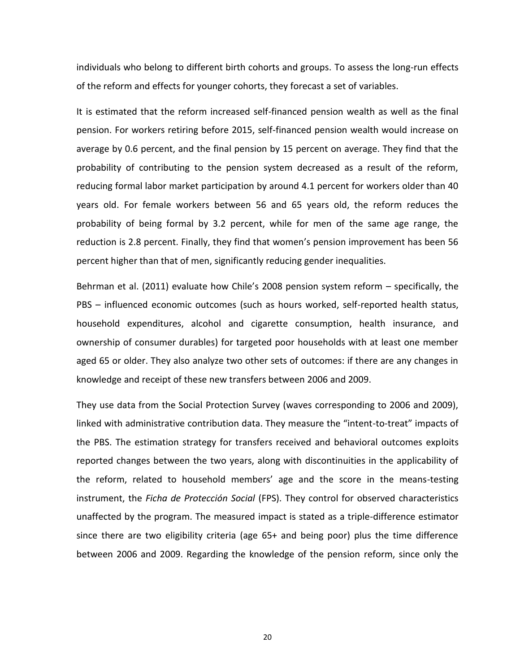individuals who belong to different birth cohorts and groups. To assess the long-run effects of the reform and effects for younger cohorts, they forecast a set of variables.

It is estimated that the reform increased self-financed pension wealth as well as the final pension. For workers retiring before 2015, self-financed pension wealth would increase on average by 0.6 percent, and the final pension by 15 percent on average. They find that the probability of contributing to the pension system decreased as a result of the reform, reducing formal labor market participation by around 4.1 percent for workers older than 40 years old. For female workers between 56 and 65 years old, the reform reduces the probability of being formal by 3.2 percent, while for men of the same age range, the reduction is 2.8 percent. Finally, they find that women's pension improvement has been 56 percent higher than that of men, significantly reducing gender inequalities.

Behrman et al. (2011) evaluate how Chile's 2008 pension system reform – specifically, the PBS – influenced economic outcomes (such as hours worked, self-reported health status, household expenditures, alcohol and cigarette consumption, health insurance, and ownership of consumer durables) for targeted poor households with at least one member aged 65 or older. They also analyze two other sets of outcomes: if there are any changes in knowledge and receipt of these new transfers between 2006 and 2009.

They use data from the Social Protection Survey (waves corresponding to 2006 and 2009), linked with administrative contribution data. They measure the "intent-to-treat" impacts of the PBS. The estimation strategy for transfers received and behavioral outcomes exploits reported changes between the two years, along with discontinuities in the applicability of the reform, related to household members' age and the score in the means-testing instrument, the *Ficha de Protección Social* (FPS). They control for observed characteristics unaffected by the program. The measured impact is stated as a triple-difference estimator since there are two eligibility criteria (age 65+ and being poor) plus the time difference between 2006 and 2009. Regarding the knowledge of the pension reform, since only the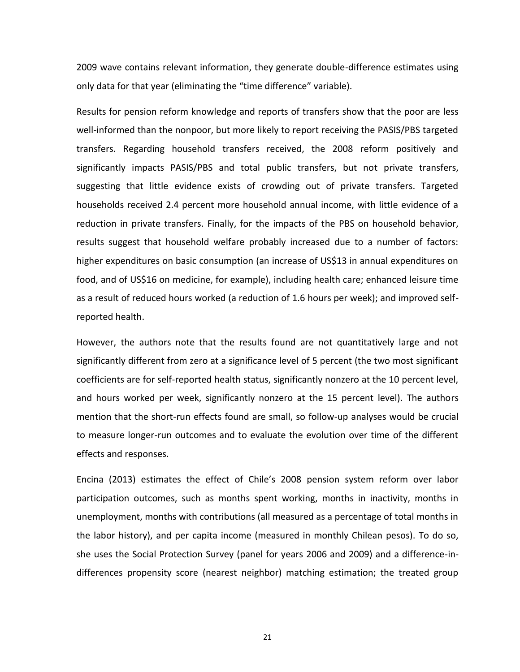2009 wave contains relevant information, they generate double-difference estimates using only data for that year (eliminating the "time difference" variable).

Results for pension reform knowledge and reports of transfers show that the poor are less well-informed than the nonpoor, but more likely to report receiving the PASIS/PBS targeted transfers. Regarding household transfers received, the 2008 reform positively and significantly impacts PASIS/PBS and total public transfers, but not private transfers, suggesting that little evidence exists of crowding out of private transfers. Targeted households received 2.4 percent more household annual income, with little evidence of a reduction in private transfers. Finally, for the impacts of the PBS on household behavior, results suggest that household welfare probably increased due to a number of factors: higher expenditures on basic consumption (an increase of US\$13 in annual expenditures on food, and of US\$16 on medicine, for example), including health care; enhanced leisure time as a result of reduced hours worked (a reduction of 1.6 hours per week); and improved selfreported health.

However, the authors note that the results found are not quantitatively large and not significantly different from zero at a significance level of 5 percent (the two most significant coefficients are for self-reported health status, significantly nonzero at the 10 percent level, and hours worked per week, significantly nonzero at the 15 percent level). The authors mention that the short-run effects found are small, so follow-up analyses would be crucial to measure longer-run outcomes and to evaluate the evolution over time of the different effects and responses.

Encina (2013) estimates the effect of Chile's 2008 pension system reform over labor participation outcomes, such as months spent working, months in inactivity, months in unemployment, months with contributions (all measured as a percentage of total months in the labor history), and per capita income (measured in monthly Chilean pesos). To do so, she uses the Social Protection Survey (panel for years 2006 and 2009) and a difference-indifferences propensity score (nearest neighbor) matching estimation; the treated group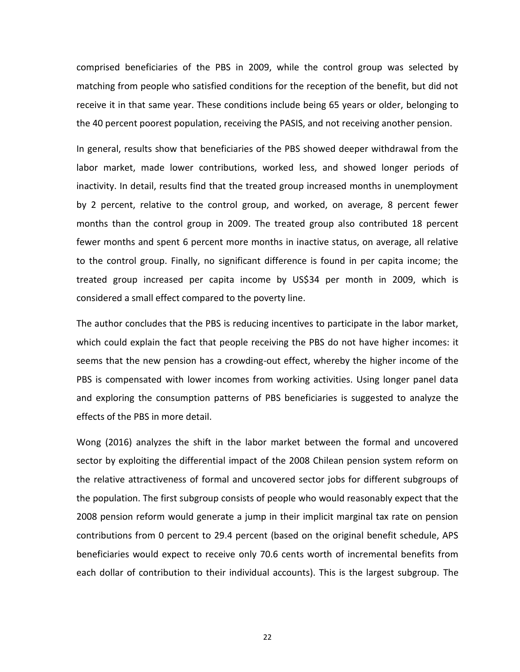comprised beneficiaries of the PBS in 2009, while the control group was selected by matching from people who satisfied conditions for the reception of the benefit, but did not receive it in that same year. These conditions include being 65 years or older, belonging to the 40 percent poorest population, receiving the PASIS, and not receiving another pension.

In general, results show that beneficiaries of the PBS showed deeper withdrawal from the labor market, made lower contributions, worked less, and showed longer periods of inactivity. In detail, results find that the treated group increased months in unemployment by 2 percent, relative to the control group, and worked, on average, 8 percent fewer months than the control group in 2009. The treated group also contributed 18 percent fewer months and spent 6 percent more months in inactive status, on average, all relative to the control group. Finally, no significant difference is found in per capita income; the treated group increased per capita income by US\$34 per month in 2009, which is considered a small effect compared to the poverty line.

The author concludes that the PBS is reducing incentives to participate in the labor market, which could explain the fact that people receiving the PBS do not have higher incomes: it seems that the new pension has a crowding-out effect, whereby the higher income of the PBS is compensated with lower incomes from working activities. Using longer panel data and exploring the consumption patterns of PBS beneficiaries is suggested to analyze the effects of the PBS in more detail.

Wong (2016) analyzes the shift in the labor market between the formal and uncovered sector by exploiting the differential impact of the 2008 Chilean pension system reform on the relative attractiveness of formal and uncovered sector jobs for different subgroups of the population. The first subgroup consists of people who would reasonably expect that the 2008 pension reform would generate a jump in their implicit marginal tax rate on pension contributions from 0 percent to 29.4 percent (based on the original benefit schedule, APS beneficiaries would expect to receive only 70.6 cents worth of incremental benefits from each dollar of contribution to their individual accounts). This is the largest subgroup. The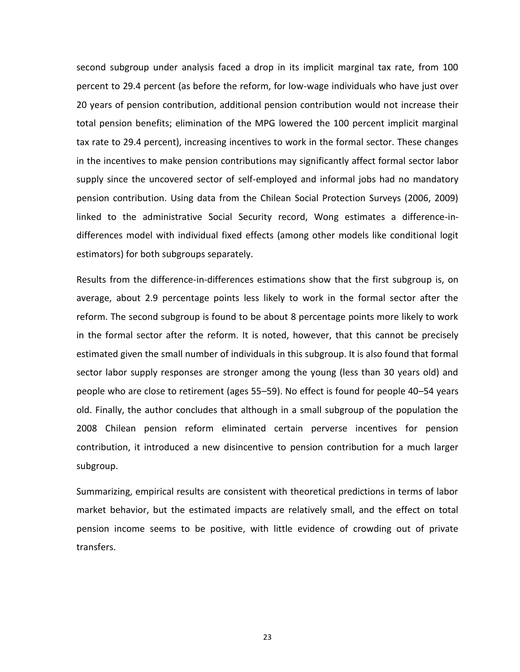second subgroup under analysis faced a drop in its implicit marginal tax rate, from 100 percent to 29.4 percent (as before the reform, for low-wage individuals who have just over 20 years of pension contribution, additional pension contribution would not increase their total pension benefits; elimination of the MPG lowered the 100 percent implicit marginal tax rate to 29.4 percent), increasing incentives to work in the formal sector. These changes in the incentives to make pension contributions may significantly affect formal sector labor supply since the uncovered sector of self-employed and informal jobs had no mandatory pension contribution. Using data from the Chilean Social Protection Surveys (2006, 2009) linked to the administrative Social Security record, Wong estimates a difference-indifferences model with individual fixed effects (among other models like conditional logit estimators) for both subgroups separately.

Results from the difference-in-differences estimations show that the first subgroup is, on average, about 2.9 percentage points less likely to work in the formal sector after the reform. The second subgroup is found to be about 8 percentage points more likely to work in the formal sector after the reform. It is noted, however, that this cannot be precisely estimated given the small number of individuals in this subgroup. It is also found that formal sector labor supply responses are stronger among the young (less than 30 years old) and people who are close to retirement (ages 55–59). No effect is found for people 40–54 years old. Finally, the author concludes that although in a small subgroup of the population the 2008 Chilean pension reform eliminated certain perverse incentives for pension contribution, it introduced a new disincentive to pension contribution for a much larger subgroup.

Summarizing, empirical results are consistent with theoretical predictions in terms of labor market behavior, but the estimated impacts are relatively small, and the effect on total pension income seems to be positive, with little evidence of crowding out of private transfers.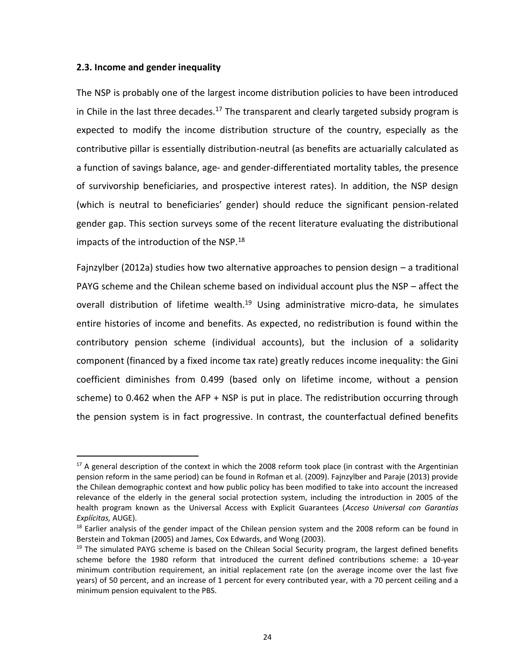#### <span id="page-24-0"></span>**2.3. Income and gender inequality**

 $\overline{a}$ 

The NSP is probably one of the largest income distribution policies to have been introduced in Chile in the last three decades.<sup>17</sup> The transparent and clearly targeted subsidy program is expected to modify the income distribution structure of the country, especially as the contributive pillar is essentially distribution-neutral (as benefits are actuarially calculated as a function of savings balance, age- and gender-differentiated mortality tables, the presence of survivorship beneficiaries, and prospective interest rates). In addition, the NSP design (which is neutral to beneficiaries' gender) should reduce the significant pension-related gender gap. This section surveys some of the recent literature evaluating the distributional impacts of the introduction of the NSP.<sup>18</sup>

Fajnzylber (2012a) studies how two alternative approaches to pension design – a traditional PAYG scheme and the Chilean scheme based on individual account plus the NSP – affect the overall distribution of lifetime wealth.<sup>19</sup> Using administrative micro-data, he simulates entire histories of income and benefits. As expected, no redistribution is found within the contributory pension scheme (individual accounts), but the inclusion of a solidarity component (financed by a fixed income tax rate) greatly reduces income inequality: the Gini coefficient diminishes from 0.499 (based only on lifetime income, without a pension scheme) to 0.462 when the AFP  $+$  NSP is put in place. The redistribution occurring through the pension system is in fact progressive. In contrast, the counterfactual defined benefits

 $17$  A general description of the context in which the 2008 reform took place (in contrast with the Argentinian pension reform in the same period) can be found in Rofman et al. (2009). Fajnzylber and Paraje (2013) provide the Chilean demographic context and how public policy has been modified to take into account the increased relevance of the elderly in the general social protection system, including the introduction in 2005 of the health program known as the Universal Access with Explicit Guarantees (*Acceso Universal con Garantías Explícitas,* AUGE).

 $18$  Earlier analysis of the gender impact of the Chilean pension system and the 2008 reform can be found in Berstein and Tokman (2005) and James, Cox Edwards, and Wong (2003).

 $19$  The simulated PAYG scheme is based on the Chilean Social Security program, the largest defined benefits scheme before the 1980 reform that introduced the current defined contributions scheme: a 10-year minimum contribution requirement, an initial replacement rate (on the average income over the last five years) of 50 percent, and an increase of 1 percent for every contributed year, with a 70 percent ceiling and a minimum pension equivalent to the PBS.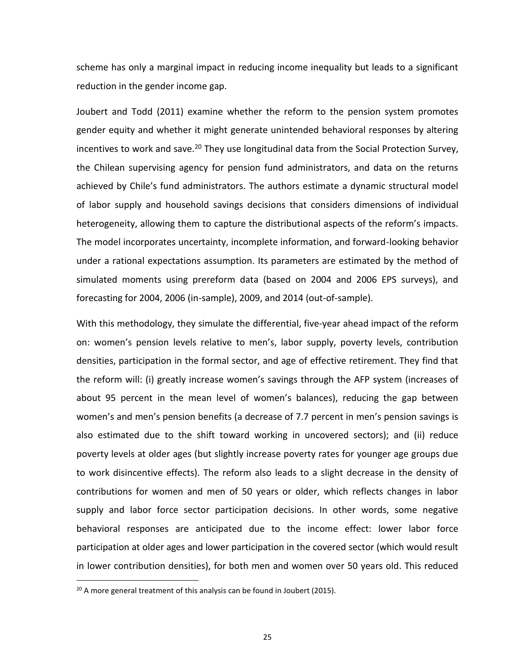scheme has only a marginal impact in reducing income inequality but leads to a significant reduction in the gender income gap.

Joubert and Todd (2011) examine whether the reform to the pension system promotes gender equity and whether it might generate unintended behavioral responses by altering incentives to work and save.<sup>20</sup> They use longitudinal data from the Social Protection Survey, the Chilean supervising agency for pension fund administrators, and data on the returns achieved by Chile's fund administrators. The authors estimate a dynamic structural model of labor supply and household savings decisions that considers dimensions of individual heterogeneity, allowing them to capture the distributional aspects of the reform's impacts. The model incorporates uncertainty, incomplete information, and forward-looking behavior under a rational expectations assumption. Its parameters are estimated by the method of simulated moments using prereform data (based on 2004 and 2006 EPS surveys), and forecasting for 2004, 2006 (in-sample), 2009, and 2014 (out-of-sample).

With this methodology, they simulate the differential, five-year ahead impact of the reform on: women's pension levels relative to men's, labor supply, poverty levels, contribution densities, participation in the formal sector, and age of effective retirement. They find that the reform will: (i) greatly increase women's savings through the AFP system (increases of about 95 percent in the mean level of women's balances), reducing the gap between women's and men's pension benefits (a decrease of 7.7 percent in men's pension savings is also estimated due to the shift toward working in uncovered sectors); and (ii) reduce poverty levels at older ages (but slightly increase poverty rates for younger age groups due to work disincentive effects). The reform also leads to a slight decrease in the density of contributions for women and men of 50 years or older, which reflects changes in labor supply and labor force sector participation decisions. In other words, some negative behavioral responses are anticipated due to the income effect: lower labor force participation at older ages and lower participation in the covered sector (which would result in lower contribution densities), for both men and women over 50 years old. This reduced

 $\overline{a}$ 

 $20$  A more general treatment of this analysis can be found in Joubert (2015).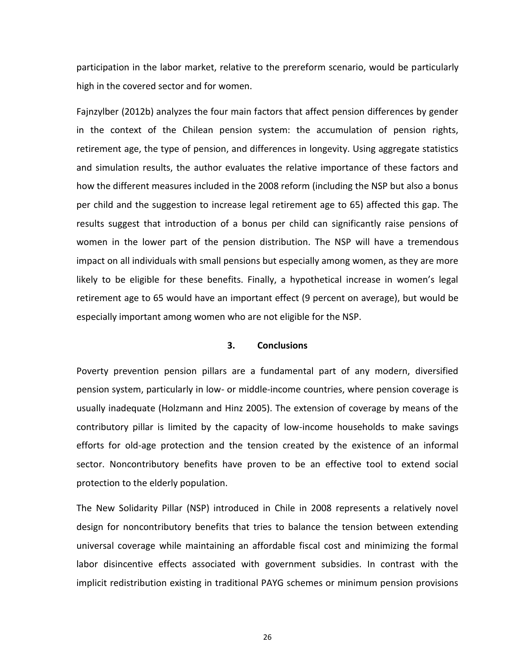participation in the labor market, relative to the prereform scenario, would be particularly high in the covered sector and for women.

Fajnzylber (2012b) analyzes the four main factors that affect pension differences by gender in the context of the Chilean pension system: the accumulation of pension rights, retirement age, the type of pension, and differences in longevity. Using aggregate statistics and simulation results, the author evaluates the relative importance of these factors and how the different measures included in the 2008 reform (including the NSP but also a bonus per child and the suggestion to increase legal retirement age to 65) affected this gap. The results suggest that introduction of a bonus per child can significantly raise pensions of women in the lower part of the pension distribution. The NSP will have a tremendous impact on all individuals with small pensions but especially among women, as they are more likely to be eligible for these benefits. Finally, a hypothetical increase in women's legal retirement age to 65 would have an important effect (9 percent on average), but would be especially important among women who are not eligible for the NSP.

#### **3. Conclusions**

<span id="page-26-0"></span>Poverty prevention pension pillars are a fundamental part of any modern, diversified pension system, particularly in low- or middle-income countries, where pension coverage is usually inadequate (Holzmann and Hinz 2005). The extension of coverage by means of the contributory pillar is limited by the capacity of low-income households to make savings efforts for old-age protection and the tension created by the existence of an informal sector. Noncontributory benefits have proven to be an effective tool to extend social protection to the elderly population.

The New Solidarity Pillar (NSP) introduced in Chile in 2008 represents a relatively novel design for noncontributory benefits that tries to balance the tension between extending universal coverage while maintaining an affordable fiscal cost and minimizing the formal labor disincentive effects associated with government subsidies. In contrast with the implicit redistribution existing in traditional PAYG schemes or minimum pension provisions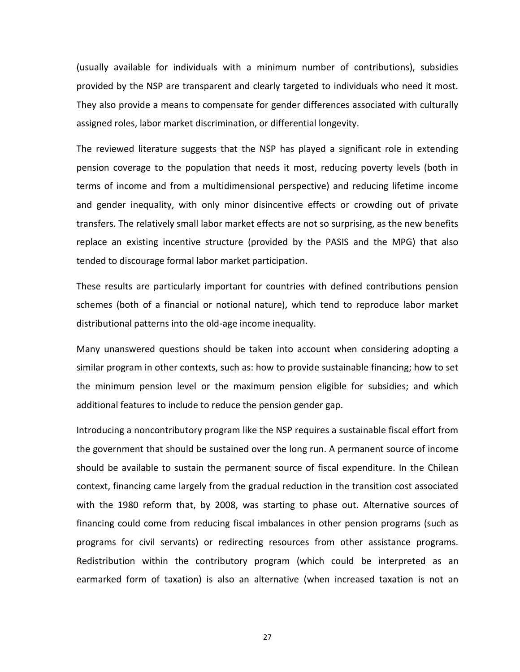(usually available for individuals with a minimum number of contributions), subsidies provided by the NSP are transparent and clearly targeted to individuals who need it most. They also provide a means to compensate for gender differences associated with culturally assigned roles, labor market discrimination, or differential longevity.

The reviewed literature suggests that the NSP has played a significant role in extending pension coverage to the population that needs it most, reducing poverty levels (both in terms of income and from a multidimensional perspective) and reducing lifetime income and gender inequality, with only minor disincentive effects or crowding out of private transfers. The relatively small labor market effects are not so surprising, as the new benefits replace an existing incentive structure (provided by the PASIS and the MPG) that also tended to discourage formal labor market participation.

These results are particularly important for countries with defined contributions pension schemes (both of a financial or notional nature), which tend to reproduce labor market distributional patterns into the old-age income inequality.

Many unanswered questions should be taken into account when considering adopting a similar program in other contexts, such as: how to provide sustainable financing; how to set the minimum pension level or the maximum pension eligible for subsidies; and which additional features to include to reduce the pension gender gap.

Introducing a noncontributory program like the NSP requires a sustainable fiscal effort from the government that should be sustained over the long run. A permanent source of income should be available to sustain the permanent source of fiscal expenditure. In the Chilean context, financing came largely from the gradual reduction in the transition cost associated with the 1980 reform that, by 2008, was starting to phase out. Alternative sources of financing could come from reducing fiscal imbalances in other pension programs (such as programs for civil servants) or redirecting resources from other assistance programs. Redistribution within the contributory program (which could be interpreted as an earmarked form of taxation) is also an alternative (when increased taxation is not an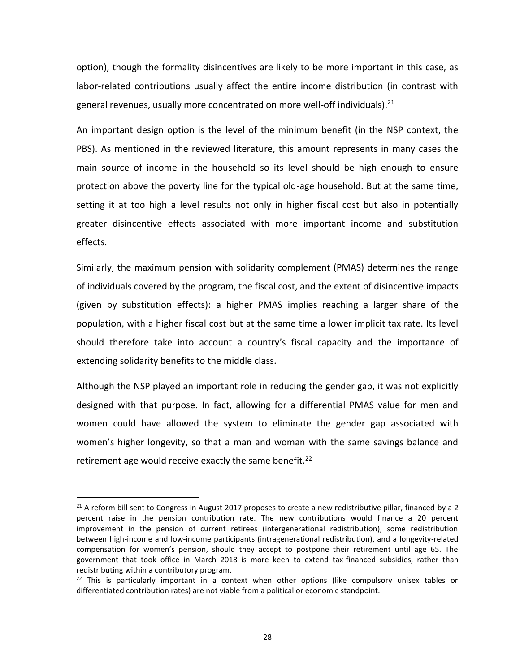option), though the formality disincentives are likely to be more important in this case, as labor-related contributions usually affect the entire income distribution (in contrast with general revenues, usually more concentrated on more well-off individuals).<sup>21</sup>

An important design option is the level of the minimum benefit (in the NSP context, the PBS). As mentioned in the reviewed literature, this amount represents in many cases the main source of income in the household so its level should be high enough to ensure protection above the poverty line for the typical old-age household. But at the same time, setting it at too high a level results not only in higher fiscal cost but also in potentially greater disincentive effects associated with more important income and substitution effects.

Similarly, the maximum pension with solidarity complement (PMAS) determines the range of individuals covered by the program, the fiscal cost, and the extent of disincentive impacts (given by substitution effects): a higher PMAS implies reaching a larger share of the population, with a higher fiscal cost but at the same time a lower implicit tax rate. Its level should therefore take into account a country's fiscal capacity and the importance of extending solidarity benefits to the middle class.

Although the NSP played an important role in reducing the gender gap, it was not explicitly designed with that purpose. In fact, allowing for a differential PMAS value for men and women could have allowed the system to eliminate the gender gap associated with women's higher longevity, so that a man and woman with the same savings balance and retirement age would receive exactly the same benefit.<sup>22</sup>

 $\overline{a}$ 

<sup>&</sup>lt;sup>21</sup> A reform bill sent to Congress in August 2017 proposes to create a new redistributive pillar, financed by a 2 percent raise in the pension contribution rate. The new contributions would finance a 20 percent improvement in the pension of current retirees (intergenerational redistribution), some redistribution between high-income and low-income participants (intragenerational redistribution), and a longevity-related compensation for women's pension, should they accept to postpone their retirement until age 65. The government that took office in March 2018 is more keen to extend tax-financed subsidies, rather than redistributing within a contributory program.

 $22$  This is particularly important in a context when other options (like compulsory unisex tables or differentiated contribution rates) are not viable from a political or economic standpoint.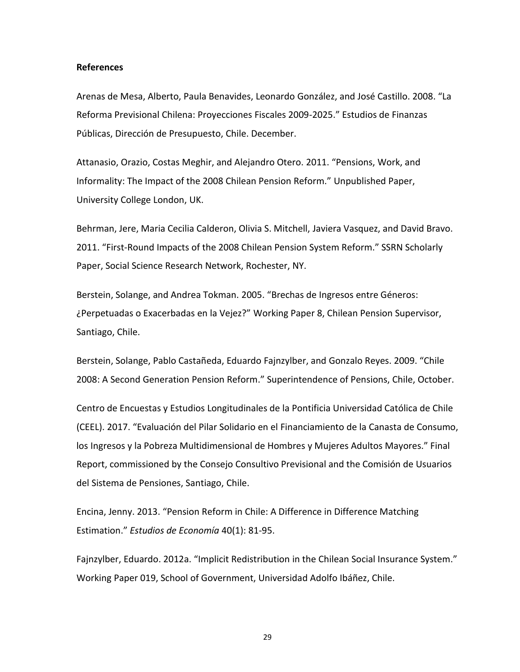#### <span id="page-29-0"></span>**References**

Arenas de Mesa, Alberto, Paula Benavides, Leonardo González, and José Castillo. 2008. "La Reforma Previsional Chilena: Proyecciones Fiscales 2009-2025." Estudios de Finanzas Públicas, Dirección de Presupuesto, Chile. December.

Attanasio, Orazio, Costas Meghir, and Alejandro Otero. 2011. "Pensions, Work, and Informality: The Impact of the 2008 Chilean Pension Reform." Unpublished Paper, University College London, UK.

Behrman, Jere, Maria Cecilia Calderon, Olivia S. Mitchell, Javiera Vasquez, and David Bravo. 2011. "First-Round Impacts of the 2008 Chilean Pension System Reform." SSRN Scholarly Paper, Social Science Research Network, Rochester, NY.

Berstein, Solange, and Andrea Tokman. 2005. "Brechas de Ingresos entre Géneros: ¿Perpetuadas o Exacerbadas en la Vejez?" Working Paper 8, Chilean Pension Supervisor, Santiago, Chile.

Berstein, Solange, Pablo Castañeda, Eduardo Fajnzylber, and Gonzalo Reyes. 2009. "Chile 2008: A Second Generation Pension Reform." Superintendence of Pensions, Chile, October.

Centro de Encuestas y Estudios Longitudinales de la Pontificia Universidad Católica de Chile (CEEL). 2017. "Evaluación del Pilar Solidario en el Financiamiento de la Canasta de Consumo, los Ingresos y la Pobreza Multidimensional de Hombres y Mujeres Adultos Mayores." Final Report, commissioned by the Consejo Consultivo Previsional and the Comisión de Usuarios del Sistema de Pensiones, Santiago, Chile.

Encina, Jenny. 2013. "Pension Reform in Chile: A Difference in Difference Matching Estimation." *Estudios de Economía* 40(1): 81-95.

Fajnzylber, Eduardo. 2012a. "Implicit Redistribution in the Chilean Social Insurance System." Working Paper 019, School of Government, Universidad Adolfo Ibáñez, Chile.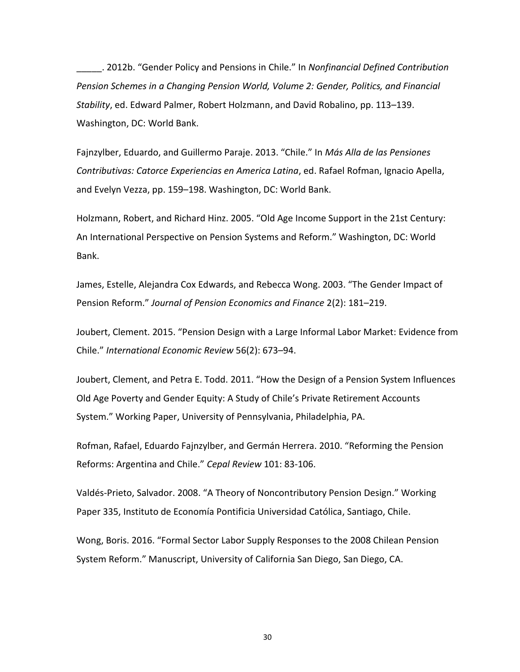\_\_\_\_\_. 2012b. "Gender Policy and Pensions in Chile." In *Nonfinancial Defined Contribution Pension Schemes in a Changing Pension World, Volume 2: Gender, Politics, and Financial Stability*, ed. Edward Palmer, Robert Holzmann, and David Robalino, pp. 113–139. Washington, DC: World Bank.

Fajnzylber, Eduardo, and Guillermo Paraje. 2013. "Chile." In *Más Alla de las Pensiones Contributivas: Catorce Experiencias en America Latina*, ed. Rafael Rofman, Ignacio Apella, and Evelyn Vezza, pp. 159–198. Washington, DC: World Bank.

Holzmann, Robert, and Richard Hinz. 2005. "Old Age Income Support in the 21st Century: An International Perspective on Pension Systems and Reform." Washington, DC: World Bank.

James, Estelle, Alejandra Cox Edwards, and Rebecca Wong. 2003. "The Gender Impact of Pension Reform." *Journal of Pension Economics and Finance* 2(2): 181–219.

Joubert, Clement. 2015. "Pension Design with a Large Informal Labor Market: Evidence from Chile." *International Economic Review* 56(2): 673–94.

Joubert, Clement, and Petra E. Todd. 2011. "How the Design of a Pension System Influences Old Age Poverty and Gender Equity: A Study of Chile's Private Retirement Accounts System." Working Paper, University of Pennsylvania, Philadelphia, PA.

Rofman, Rafael, Eduardo Fajnzylber, and Germán Herrera. 2010. "Reforming the Pension Reforms: Argentina and Chile." *Cepal Review* 101: 83-106.

Valdés-Prieto, Salvador. 2008. "A Theory of Noncontributory Pension Design." Working Paper 335, Instituto de Economía Pontificia Universidad Católica, Santiago, Chile.

Wong, Boris. 2016. "Formal Sector Labor Supply Responses to the 2008 Chilean Pension System Reform." Manuscript, University of California San Diego, San Diego, CA.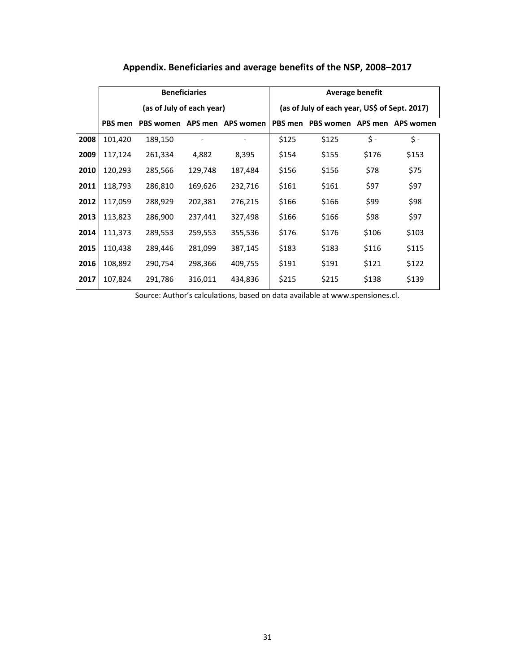<span id="page-31-0"></span>

|      | <b>Beneficiaries</b>      |                             |         |         | <b>Average benefit</b>                        |                             |       |       |
|------|---------------------------|-----------------------------|---------|---------|-----------------------------------------------|-----------------------------|-------|-------|
|      | (as of July of each year) |                             |         |         | (as of July of each year, US\$ of Sept. 2017) |                             |       |       |
|      | PBS men                   | PBS women APS men APS women |         |         | PBS men                                       | PBS women APS men APS women |       |       |
| 2008 | 101,420                   | 189,150                     |         |         | \$125                                         | \$125                       | \$-   | \$ -  |
| 2009 | 117,124                   | 261,334                     | 4,882   | 8,395   | \$154                                         | \$155                       | \$176 | \$153 |
| 2010 | 120,293                   | 285,566                     | 129,748 | 187,484 | \$156                                         | \$156                       | \$78  | \$75  |
| 2011 | 118,793                   | 286,810                     | 169,626 | 232,716 | \$161                                         | \$161                       | \$97  | \$97  |
| 2012 | 117,059                   | 288,929                     | 202,381 | 276,215 | \$166                                         | \$166                       | \$99  | \$98  |
| 2013 | 113,823                   | 286,900                     | 237,441 | 327,498 | \$166                                         | \$166                       | \$98  | \$97  |
| 2014 | 111,373                   | 289,553                     | 259,553 | 355,536 | \$176                                         | \$176                       | \$106 | \$103 |
| 2015 | 110,438                   | 289,446                     | 281,099 | 387,145 | \$183                                         | \$183                       | \$116 | \$115 |
| 2016 | 108,892                   | 290,754                     | 298,366 | 409,755 | \$191                                         | \$191                       | \$121 | \$122 |
| 2017 | 107,824                   | 291,786                     | 316,011 | 434,836 | \$215                                         | \$215                       | \$138 | \$139 |

## **Appendix. Beneficiaries and average benefits of the NSP, 2008–2017**

Source: Author's calculations, based on data available at www.spensiones.cl.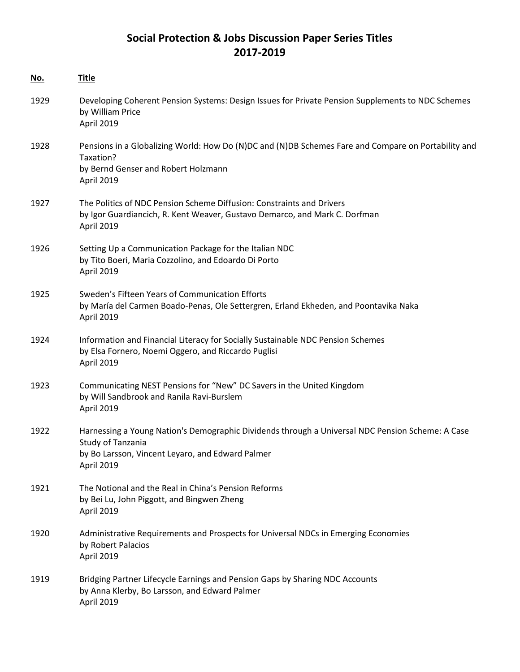# **Social Protection & Jobs Discussion Paper Series Titles 2017-2019**

| <u>No.</u> | <b>Title</b>                                                                                                                                                                            |
|------------|-----------------------------------------------------------------------------------------------------------------------------------------------------------------------------------------|
| 1929       | Developing Coherent Pension Systems: Design Issues for Private Pension Supplements to NDC Schemes<br>by William Price<br>April 2019                                                     |
| 1928       | Pensions in a Globalizing World: How Do (N)DC and (N)DB Schemes Fare and Compare on Portability and<br>Taxation?<br>by Bernd Genser and Robert Holzmann<br>April 2019                   |
| 1927       | The Politics of NDC Pension Scheme Diffusion: Constraints and Drivers<br>by Igor Guardiancich, R. Kent Weaver, Gustavo Demarco, and Mark C. Dorfman<br><b>April 2019</b>                |
| 1926       | Setting Up a Communication Package for the Italian NDC<br>by Tito Boeri, Maria Cozzolino, and Edoardo Di Porto<br>April 2019                                                            |
| 1925       | Sweden's Fifteen Years of Communication Efforts<br>by María del Carmen Boado-Penas, Ole Settergren, Erland Ekheden, and Poontavika Naka<br><b>April 2019</b>                            |
| 1924       | Information and Financial Literacy for Socially Sustainable NDC Pension Schemes<br>by Elsa Fornero, Noemi Oggero, and Riccardo Puglisi<br>April 2019                                    |
| 1923       | Communicating NEST Pensions for "New" DC Savers in the United Kingdom<br>by Will Sandbrook and Ranila Ravi-Burslem<br>April 2019                                                        |
| 1922       | Harnessing a Young Nation's Demographic Dividends through a Universal NDC Pension Scheme: A Case<br>Study of Tanzania<br>by Bo Larsson, Vincent Leyaro, and Edward Palmer<br>April 2019 |
| 1921       | The Notional and the Real in China's Pension Reforms<br>by Bei Lu, John Piggott, and Bingwen Zheng<br>April 2019                                                                        |
| 1920       | Administrative Requirements and Prospects for Universal NDCs in Emerging Economies<br>by Robert Palacios<br>April 2019                                                                  |
| 1919       | Bridging Partner Lifecycle Earnings and Pension Gaps by Sharing NDC Accounts<br>by Anna Klerby, Bo Larsson, and Edward Palmer<br>April 2019                                             |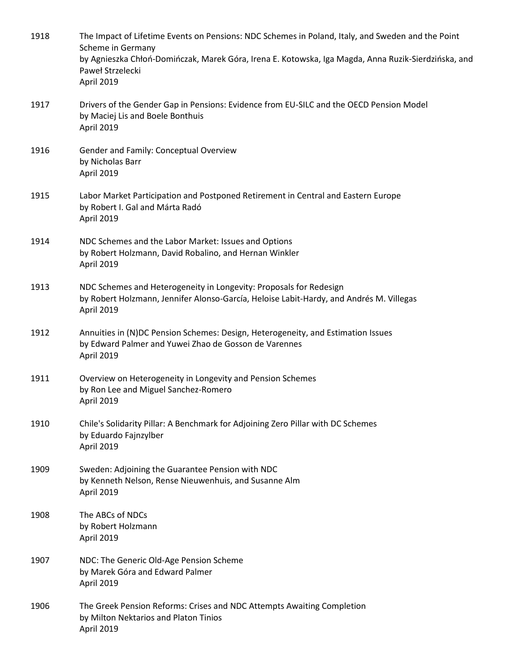| 1918 | The Impact of Lifetime Events on Pensions: NDC Schemes in Poland, Italy, and Sweden and the Point<br>Scheme in Germany<br>by Agnieszka Chłoń-Domińczak, Marek Góra, Irena E. Kotowska, Iga Magda, Anna Ruzik-Sierdzińska, and<br>Paweł Strzelecki<br>April 2019 |
|------|-----------------------------------------------------------------------------------------------------------------------------------------------------------------------------------------------------------------------------------------------------------------|
| 1917 | Drivers of the Gender Gap in Pensions: Evidence from EU-SILC and the OECD Pension Model<br>by Maciej Lis and Boele Bonthuis<br>April 2019                                                                                                                       |
| 1916 | Gender and Family: Conceptual Overview<br>by Nicholas Barr<br>April 2019                                                                                                                                                                                        |
| 1915 | Labor Market Participation and Postponed Retirement in Central and Eastern Europe<br>by Robert I. Gal and Márta Radó<br>April 2019                                                                                                                              |
| 1914 | NDC Schemes and the Labor Market: Issues and Options<br>by Robert Holzmann, David Robalino, and Hernan Winkler<br>April 2019                                                                                                                                    |
| 1913 | NDC Schemes and Heterogeneity in Longevity: Proposals for Redesign<br>by Robert Holzmann, Jennifer Alonso-García, Heloise Labit-Hardy, and Andrés M. Villegas<br>April 2019                                                                                     |
| 1912 | Annuities in (N)DC Pension Schemes: Design, Heterogeneity, and Estimation Issues<br>by Edward Palmer and Yuwei Zhao de Gosson de Varennes<br>April 2019                                                                                                         |
| 1911 | Overview on Heterogeneity in Longevity and Pension Schemes<br>by Ron Lee and Miguel Sanchez-Romero<br>April 2019                                                                                                                                                |
| 1910 | Chile's Solidarity Pillar: A Benchmark for Adjoining Zero Pillar with DC Schemes<br>by Eduardo Fajnzylber<br>April 2019                                                                                                                                         |
| 1909 | Sweden: Adjoining the Guarantee Pension with NDC<br>by Kenneth Nelson, Rense Nieuwenhuis, and Susanne Alm<br>April 2019                                                                                                                                         |
| 1908 | The ABCs of NDCs<br>by Robert Holzmann<br>April 2019                                                                                                                                                                                                            |
| 1907 | NDC: The Generic Old-Age Pension Scheme<br>by Marek Góra and Edward Palmer<br>April 2019                                                                                                                                                                        |
| 1906 | The Greek Pension Reforms: Crises and NDC Attempts Awaiting Completion<br>by Milton Nektarios and Platon Tinios<br>April 2019                                                                                                                                   |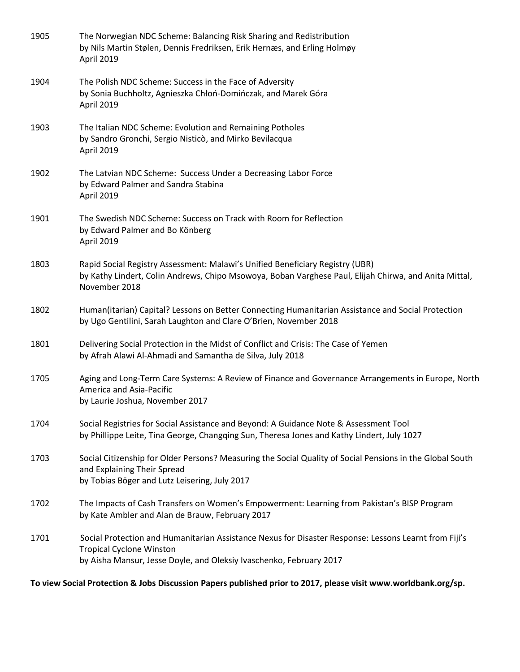| 1905 | The Norwegian NDC Scheme: Balancing Risk Sharing and Redistribution<br>by Nils Martin Stølen, Dennis Fredriksen, Erik Hernæs, and Erling Holmøy<br>April 2019                                                   |
|------|-----------------------------------------------------------------------------------------------------------------------------------------------------------------------------------------------------------------|
| 1904 | The Polish NDC Scheme: Success in the Face of Adversity<br>by Sonia Buchholtz, Agnieszka Chłoń-Domińczak, and Marek Góra<br>April 2019                                                                          |
| 1903 | The Italian NDC Scheme: Evolution and Remaining Potholes<br>by Sandro Gronchi, Sergio Nisticò, and Mirko Bevilacqua<br>April 2019                                                                               |
| 1902 | The Latvian NDC Scheme: Success Under a Decreasing Labor Force<br>by Edward Palmer and Sandra Stabina<br>April 2019                                                                                             |
| 1901 | The Swedish NDC Scheme: Success on Track with Room for Reflection<br>by Edward Palmer and Bo Könberg<br>April 2019                                                                                              |
| 1803 | Rapid Social Registry Assessment: Malawi's Unified Beneficiary Registry (UBR)<br>by Kathy Lindert, Colin Andrews, Chipo Msowoya, Boban Varghese Paul, Elijah Chirwa, and Anita Mittal,<br>November 2018         |
| 1802 | Human(itarian) Capital? Lessons on Better Connecting Humanitarian Assistance and Social Protection<br>by Ugo Gentilini, Sarah Laughton and Clare O'Brien, November 2018                                         |
| 1801 | Delivering Social Protection in the Midst of Conflict and Crisis: The Case of Yemen<br>by Afrah Alawi Al-Ahmadi and Samantha de Silva, July 2018                                                                |
| 1705 | Aging and Long-Term Care Systems: A Review of Finance and Governance Arrangements in Europe, North<br>America and Asia-Pacific<br>by Laurie Joshua, November 2017                                               |
| 1704 | Social Registries for Social Assistance and Beyond: A Guidance Note & Assessment Tool<br>by Phillippe Leite, Tina George, Changqing Sun, Theresa Jones and Kathy Lindert, July 1027                             |
| 1703 | Social Citizenship for Older Persons? Measuring the Social Quality of Social Pensions in the Global South<br>and Explaining Their Spread<br>by Tobias Böger and Lutz Leisering, July 2017                       |
| 1702 | The Impacts of Cash Transfers on Women's Empowerment: Learning from Pakistan's BISP Program<br>by Kate Ambler and Alan de Brauw, February 2017                                                                  |
| 1701 | Social Protection and Humanitarian Assistance Nexus for Disaster Response: Lessons Learnt from Fiji's<br><b>Tropical Cyclone Winston</b><br>by Aisha Mansur, Jesse Doyle, and Oleksiy Ivaschenko, February 2017 |

**To view Social Protection & Jobs Discussion Papers published prior to 2017, please visit www.worldbank.org/sp.**